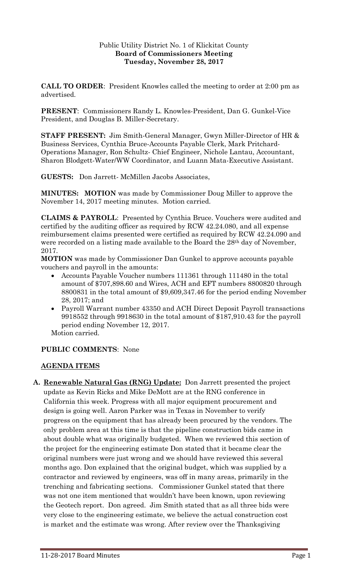## Public Utility District No. 1 of Klickitat County **Board of Commissioners Meeting Tuesday, November 28, 2017**

**CALL TO ORDER**: President Knowles called the meeting to order at 2:00 pm as advertised.

**PRESENT**: Commissioners Randy L. Knowles-President, Dan G. Gunkel-Vice President, and Douglas B. Miller-Secretary.

**STAFF PRESENT:** Jim Smith-General Manager, Gwyn Miller-Director of HR & Business Services, Cynthia Bruce-Accounts Payable Clerk, Mark Pritchard-Operations Manager, Ron Schultz- Chief Engineer, Nichole Lantau, Accountant, Sharon Blodgett-Water/WW Coordinator, and Luann Mata-Executive Assistant.

**GUESTS:** Don Jarrett- McMillen Jacobs Associates,

**MINUTES: MOTION** was made by Commissioner Doug Miller to approve the November 14, 2017 meeting minutes. Motion carried.

**CLAIMS & PAYROLL**: Presented by Cynthia Bruce. Vouchers were audited and certified by the auditing officer as required by RCW 42.24.080, and all expense reimbursement claims presented were certified as required by RCW 42.24.090 and were recorded on a listing made available to the Board the 28<sup>th</sup> day of November, 2017.

**MOTION** was made by Commissioner Dan Gunkel to approve accounts payable vouchers and payroll in the amounts:

- Accounts Payable Voucher numbers 111361 through 111480 in the total amount of \$707,898.60 and Wires, ACH and EFT numbers 8800820 through 8800831 in the total amount of \$9,609,347.46 for the period ending November 28, 2017; and
- Payroll Warrant number 43350 and ACH Direct Deposit Payroll transactions 9918552 through 9918630 in the total amount of \$187,910.43 for the payroll period ending November 12, 2017.

Motion carried.

## **PUBLIC COMMENTS**: None

## **AGENDA ITEMS**

**A. Renewable Natural Gas (RNG) Update:** Don Jarrett presented the project update as Kevin Ricks and Mike DeMott are at the RNG conference in California this week. Progress with all major equipment procurement and design is going well. Aaron Parker was in Texas in November to verify progress on the equipment that has already been procured by the vendors. The only problem area at this time is that the pipeline construction bids came in about double what was originally budgeted. When we reviewed this section of the project for the engineering estimate Don stated that it became clear the original numbers were just wrong and we should have reviewed this several months ago. Don explained that the original budget, which was supplied by a contractor and reviewed by engineers, was off in many areas, primarily in the trenching and fabricating sections. Commissioner Gunkel stated that there was not one item mentioned that wouldn't have been known, upon reviewing the Geotech report. Don agreed. Jim Smith stated that as all three bids were very close to the engineering estimate, we believe the actual construction cost is market and the estimate was wrong. After review over the Thanksgiving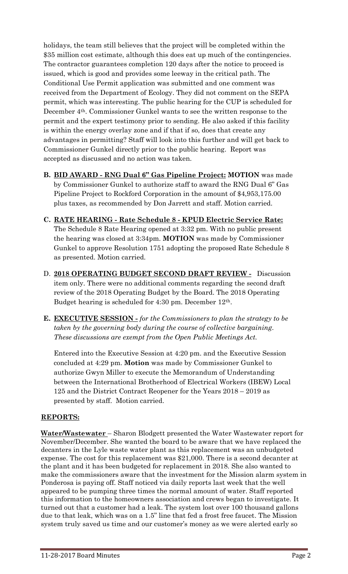holidays, the team still believes that the project will be completed within the \$35 million cost estimate, although this does eat up much of the contingencies. The contractor guarantees completion 120 days after the notice to proceed is issued, which is good and provides some leeway in the critical path. The Conditional Use Permit application was submitted and one comment was received from the Department of Ecology. They did not comment on the SEPA permit, which was interesting. The public hearing for the CUP is scheduled for December 4th. Commissioner Gunkel wants to see the written response to the permit and the expert testimony prior to sending. He also asked if this facility is within the energy overlay zone and if that if so, does that create any advantages in permitting? Staff will look into this further and will get back to Commissioner Gunkel directly prior to the public hearing. Report was accepted as discussed and no action was taken.

- **B. BID AWARD - RNG Dual 6" Gas Pipeline Project: MOTION** was made by Commissioner Gunkel to authorize staff to award the RNG Dual 6" Gas Pipeline Project to Rockford Corporation in the amount of \$4,953,175.00 plus taxes, as recommended by Don Jarrett and staff. Motion carried.
- **C. RATE HEARING - Rate Schedule 8 - KPUD Electric Service Rate:**  The Schedule 8 Rate Hearing opened at 3:32 pm. With no public present the hearing was closed at 3:34pm. **MOTION** was made by Commissioner Gunkel to approve Resolution 1751 adopting the proposed Rate Schedule 8 as presented. Motion carried.
- D. **2018 OPERATING BUDGET SECOND DRAFT REVIEW -** Discussion item only. There were no additional comments regarding the second draft review of the 2018 Operating Budget by the Board. The 2018 Operating Budget hearing is scheduled for 4:30 pm. December 12th.
- **E. EXECUTIVE SESSION -** *for the Commissioners to plan the strategy to be taken by the governing body during the course of collective bargaining. These discussions are exempt from the Open Public Meetings Act.*

Entered into the Executive Session at 4:20 pm. and the Executive Session concluded at 4:29 pm. **Motion** was made by Commissioner Gunkel to authorize Gwyn Miller to execute the Memorandum of Understanding between the International Brotherhood of Electrical Workers (IBEW) Local 125 and the District Contract Reopener for the Years 2018 – 2019 as presented by staff. Motion carried.

## **REPORTS:**

**Water/Wastewater** – Sharon Blodgett presented the Water Wastewater report for November/December. She wanted the board to be aware that we have replaced the decanters in the Lyle waste water plant as this replacement was an unbudgeted expense. The cost for this replacement was \$21,000. There is a second decanter at the plant and it has been budgeted for replacement in 2018. She also wanted to make the commissioners aware that the investment for the Mission alarm system in Ponderosa is paying off. Staff noticed via daily reports last week that the well appeared to be pumping three times the normal amount of water. Staff reported this information to the homeowners association and crews began to investigate. It turned out that a customer had a leak. The system lost over 100 thousand gallons due to that leak, which was on a 1.5" line that fed a frost free faucet. The Mission system truly saved us time and our customer's money as we were alerted early so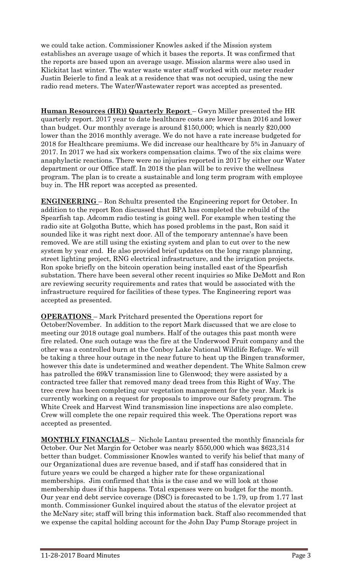we could take action. Commissioner Knowles asked if the Mission system establishes an average usage of which it bases the reports. It was confirmed that the reports are based upon an average usage. Mission alarms were also used in Klickitat last winter. The water waste water staff worked with our meter reader Justin Beierle to find a leak at a residence that was not occupied, using the new radio read meters. The Water/Wastewater report was accepted as presented.

**Human Resources (HR)) Quarterly Report** – Gwyn Miller presented the HR quarterly report. 2017 year to date healthcare costs are lower than 2016 and lower than budget. Our monthly average is around \$150,000; which is nearly \$20,000 lower than the 2016 monthly average. We do not have a rate increase budgeted for 2018 for Healthcare premiums. We did increase our healthcare by 5% in January of 2017. In 2017 we had six workers compensation claims. Two of the six claims were anaphylactic reactions. There were no injuries reported in 2017 by either our Water department or our Office staff. In 2018 the plan will be to revive the wellness program. The plan is to create a sustainable and long term program with employee buy in. The HR report was accepted as presented.

**ENGINEERING** – Ron Schultz presented the Engineering report for October. In addition to the report Ron discussed that BPA has completed the rebuild of the Spearfish tap. Adcomm radio testing is going well. For example when testing the radio site at Golgotha Butte, which has posed problems in the past, Ron said it sounded like it was right next door. All of the temporary antennae's have been removed. We are still using the existing system and plan to cut over to the new system by year end. He also provided brief updates on the long range planning, street lighting project, RNG electrical infrastructure, and the irrigation projects. Ron spoke briefly on the bitcoin operation being installed east of the Spearfish substation. There have been several other recent inquiries so Mike DeMott and Ron are reviewing security requirements and rates that would be associated with the infrastructure required for facilities of these types. The Engineering report was accepted as presented.

**OPERATIONS** – Mark Pritchard presented the Operations report for October/November. In addition to the report Mark discussed that we are close to meeting our 2018 outage goal numbers. Half of the outages this past month were fire related. One such outage was the fire at the Underwood Fruit company and the other was a controlled burn at the Conboy Lake National Wildlife Refuge. We will be taking a three hour outage in the near future to heat up the Bingen transformer, however this date is undetermined and weather dependent. The White Salmon crew has patrolled the 69kV transmission line to Glenwood; they were assisted by a contracted tree faller that removed many dead trees from this Right of Way. The tree crew has been completing our vegetation management for the year. Mark is currently working on a request for proposals to improve our Safety program. The White Creek and Harvest Wind transmission line inspections are also complete. Crew will complete the one repair required this week. The Operations report was accepted as presented.

**MONTHLY FINANCIALS** – Nichole Lantau presented the monthly financials for October. Our Net Margin for October was nearly \$550,000 which was \$623,314 better than budget. Commissioner Knowles wanted to verify his belief that many of our Organizational dues are revenue based, and if staff has considered that in future years we could be charged a higher rate for these organizational memberships. Jim confirmed that this is the case and we will look at those membership dues if this happens. Total expenses were on budget for the month. Our year end debt service coverage (DSC) is forecasted to be 1.79, up from 1.77 last month. Commissioner Gunkel inquired about the status of the elevator project at the McNary site; staff will bring this information back. Staff also recommended that we expense the capital holding account for the John Day Pump Storage project in